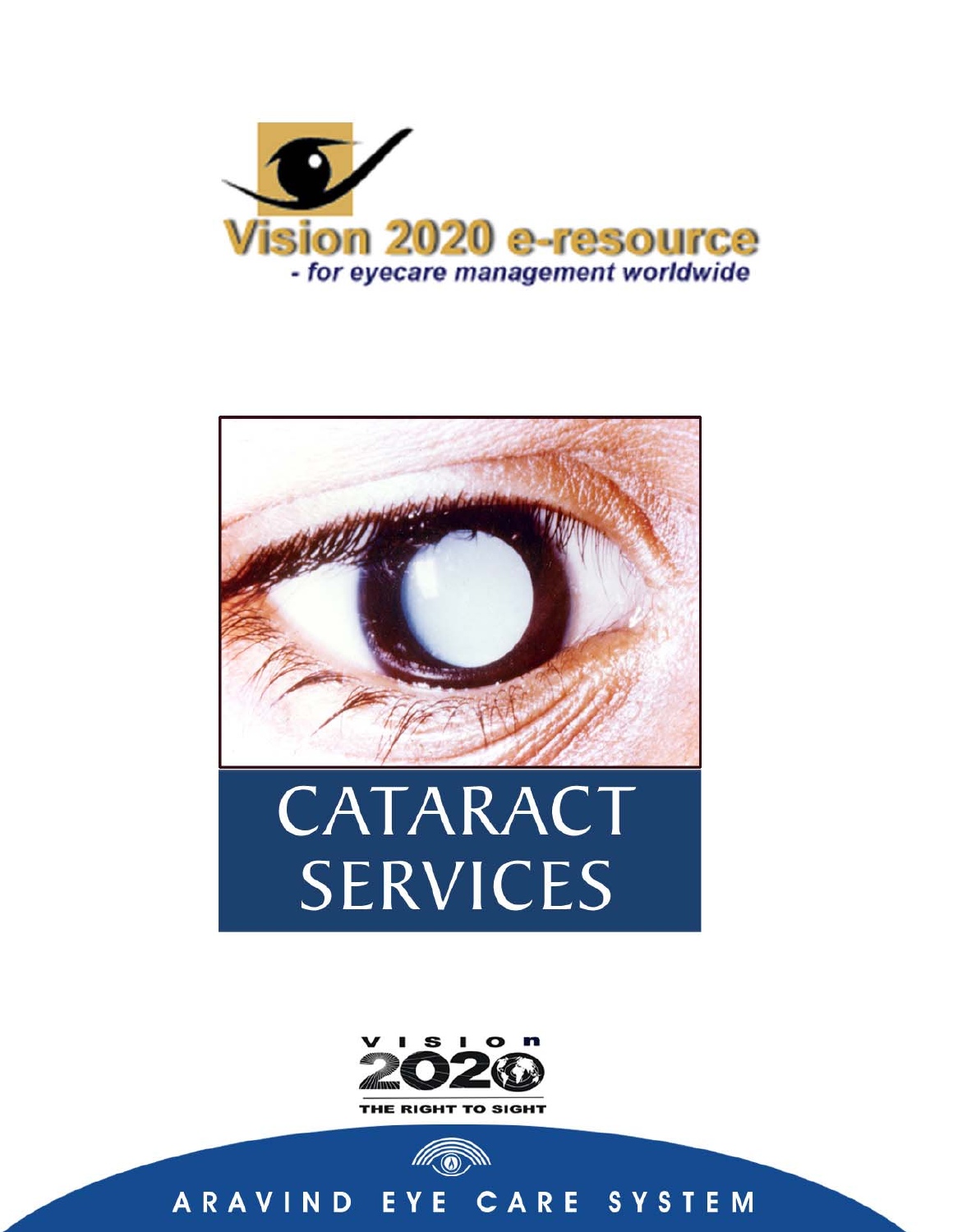



# CATARACT **SERVICES**



#### ARAVIND EYE CARE SYSTEM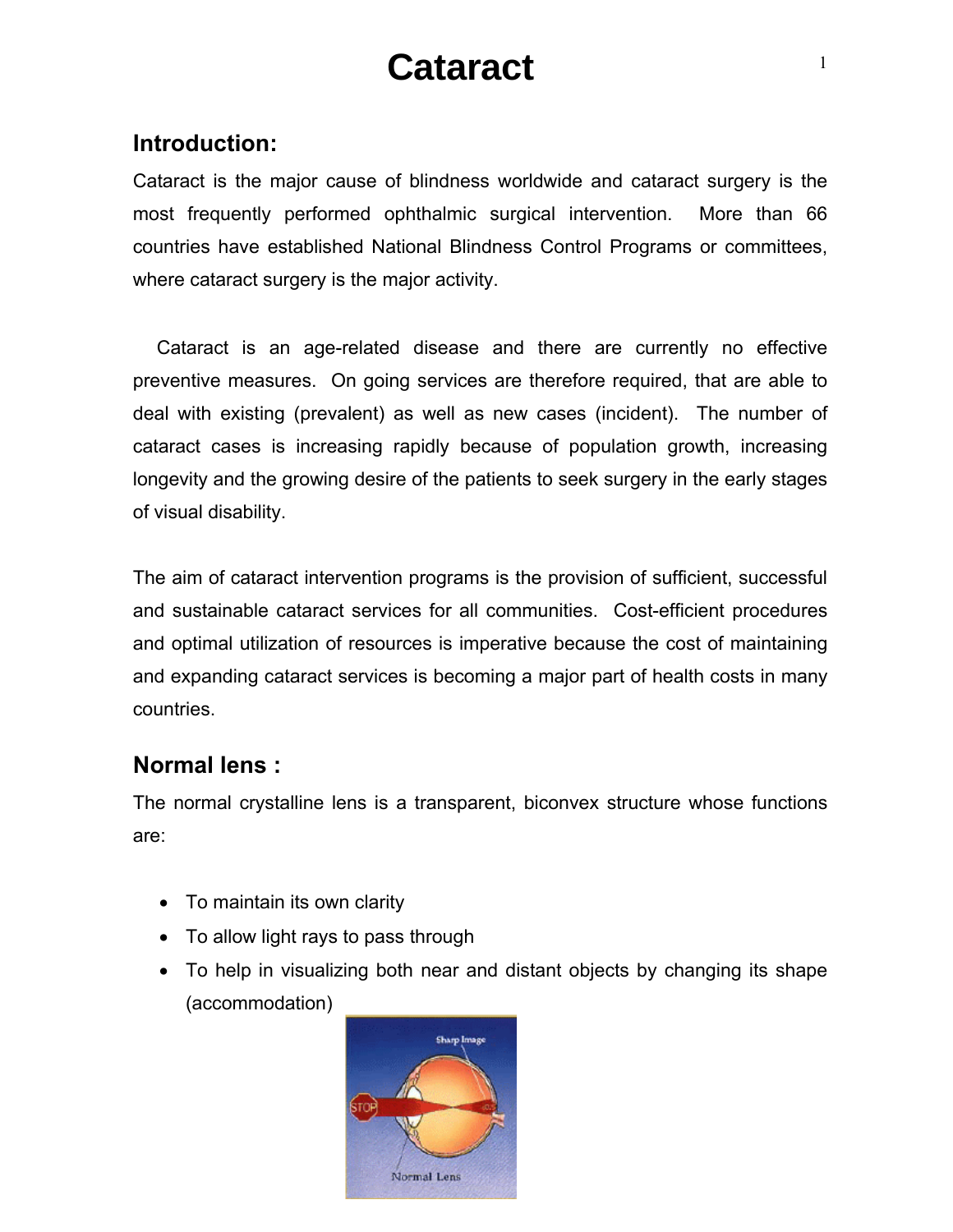# **Cataract**

# **Introduction:**

Cataract is the major cause of blindness worldwide and cataract surgery is the most frequently performed ophthalmic surgical intervention. More than 66 countries have established National Blindness Control Programs or committees, where cataract surgery is the major activity.

 Cataract is an age-related disease and there are currently no effective preventive measures. On going services are therefore required, that are able to deal with existing (prevalent) as well as new cases (incident). The number of cataract cases is increasing rapidly because of population growth, increasing longevity and the growing desire of the patients to seek surgery in the early stages of visual disability.

The aim of cataract intervention programs is the provision of sufficient, successful and sustainable cataract services for all communities. Cost-efficient procedures and optimal utilization of resources is imperative because the cost of maintaining and expanding cataract services is becoming a major part of health costs in many countries.

# **Normal lens :**

The normal crystalline lens is a transparent, biconvex structure whose functions are:

- To maintain its own clarity
- To allow light rays to pass through
- To help in visualizing both near and distant objects by changing its shape (accommodation)

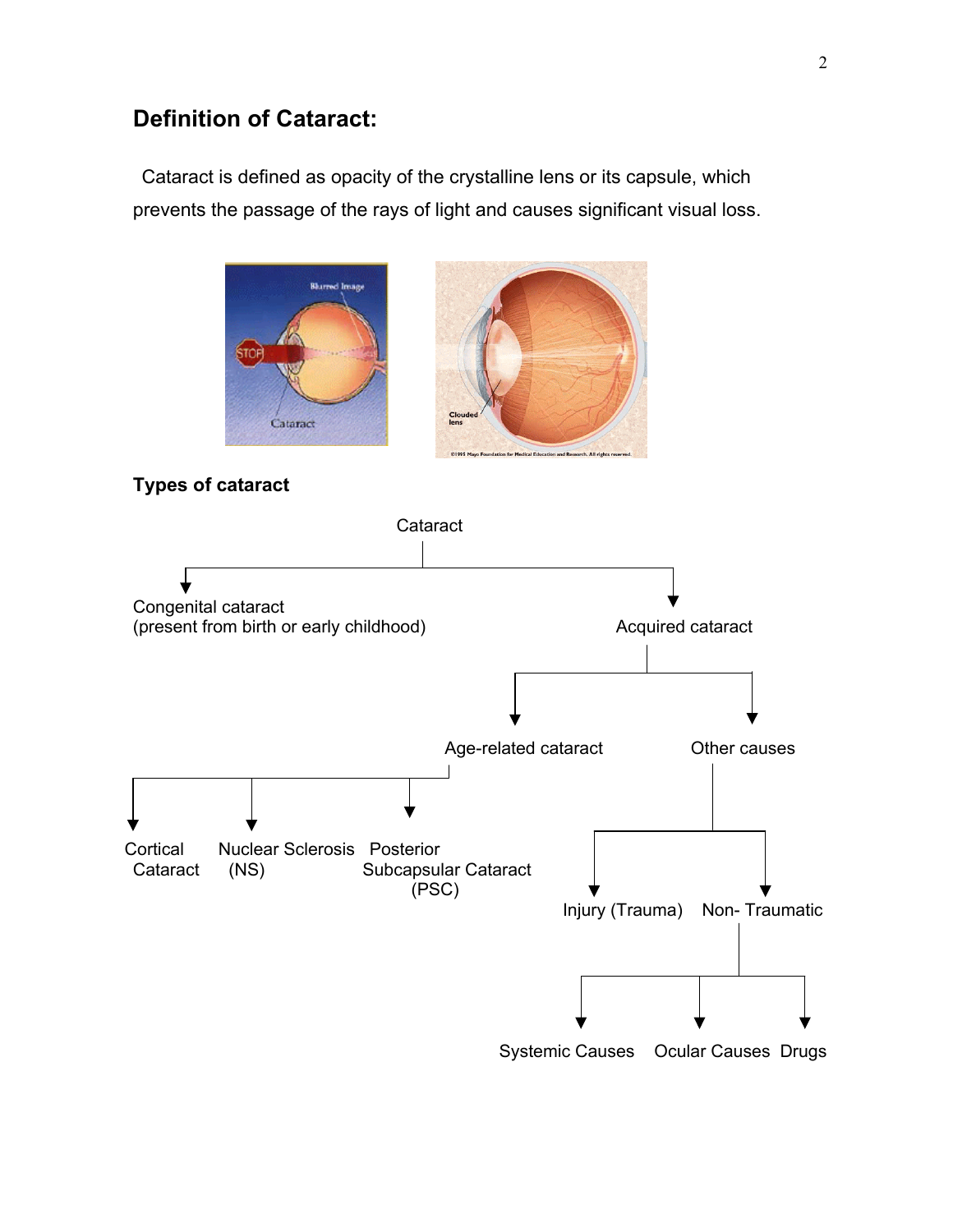# **Definition of Cataract:**

Cataract is defined as opacity of the crystalline lens or its capsule, which prevents the passage of the rays of light and causes significant visual loss.





# **Types of cataract**



Systemic Causes Ocular Causes Drugs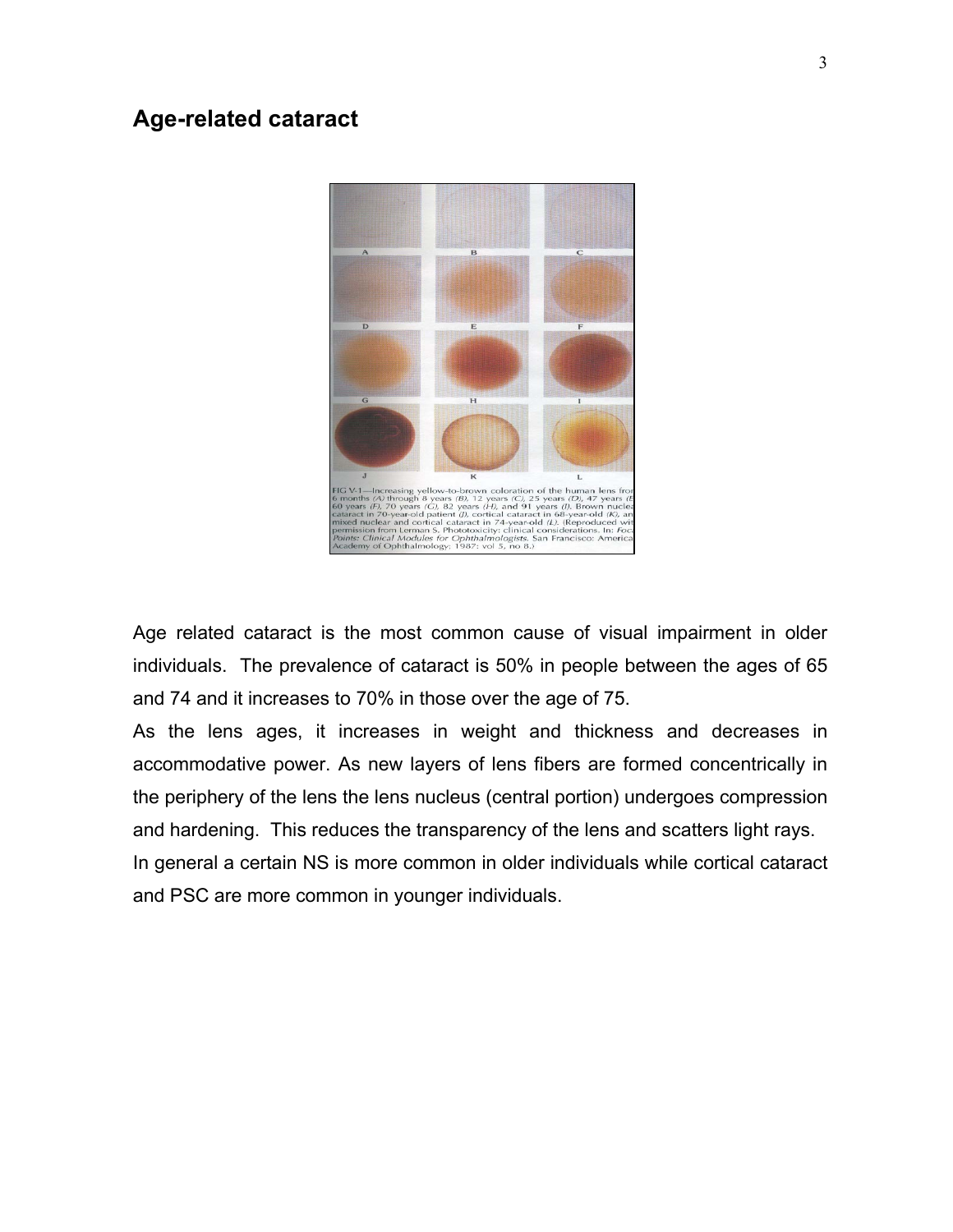# **Age-related cataract**



Age related cataract is the most common cause of visual impairment in older individuals. The prevalence of cataract is 50% in people between the ages of 65 and 74 and it increases to 70% in those over the age of 75.

As the lens ages, it increases in weight and thickness and decreases in accommodative power. As new layers of lens fibers are formed concentrically in the periphery of the lens the lens nucleus (central portion) undergoes compression and hardening. This reduces the transparency of the lens and scatters light rays. In general a certain NS is more common in older individuals while cortical cataract and PSC are more common in younger individuals.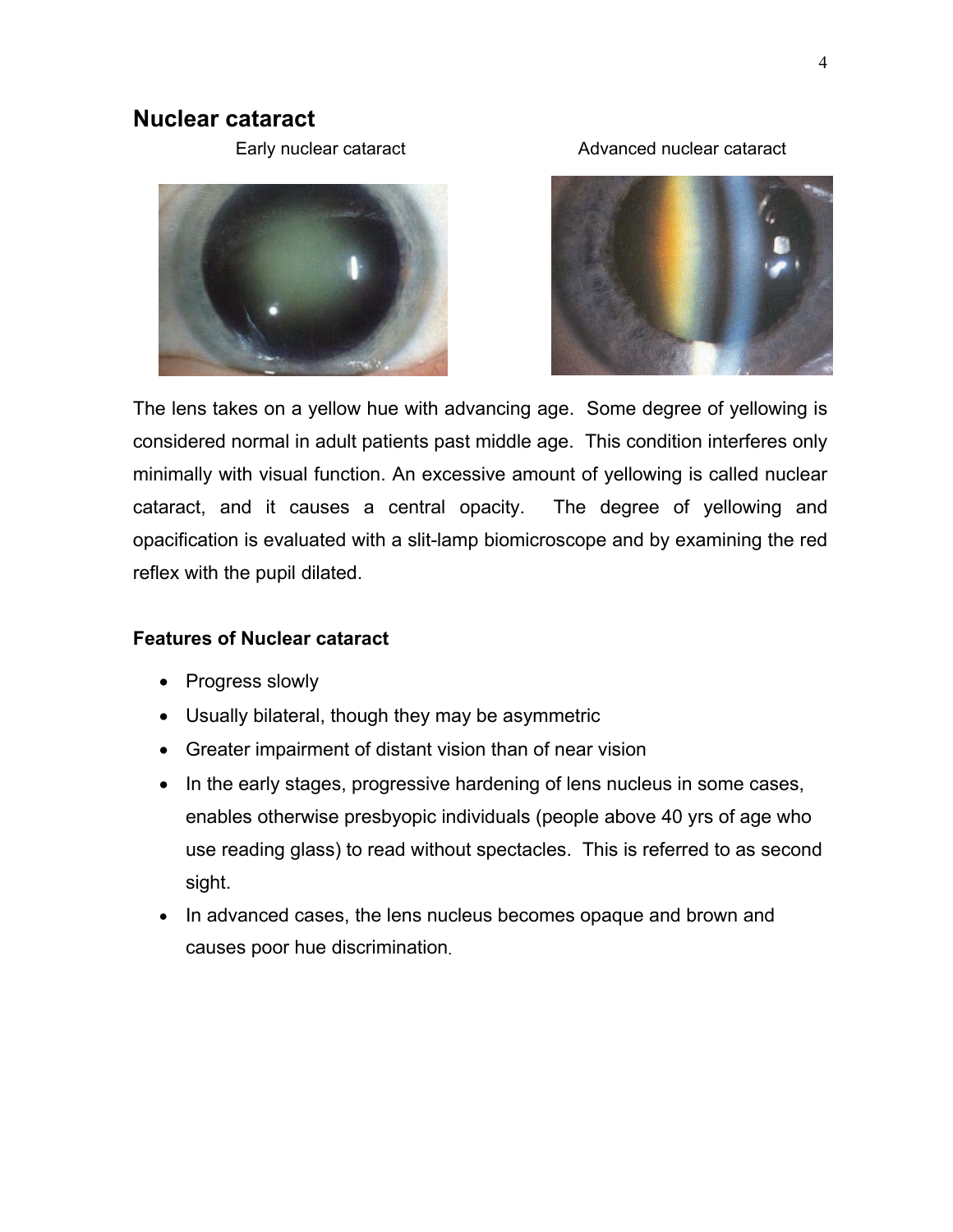# **Nuclear cataract**

Early nuclear cataract **Advanced nuclear cataract** 





The lens takes on a yellow hue with advancing age. Some degree of yellowing is considered normal in adult patients past middle age. This condition interferes only minimally with visual function. An excessive amount of yellowing is called nuclear cataract, and it causes a central opacity. The degree of yellowing and opacification is evaluated with a slit-lamp biomicroscope and by examining the red reflex with the pupil dilated.

#### **Features of Nuclear cataract**

- Progress slowly
- Usually bilateral, though they may be asymmetric
- Greater impairment of distant vision than of near vision
- In the early stages, progressive hardening of lens nucleus in some cases, enables otherwise presbyopic individuals (people above 40 yrs of age who use reading glass) to read without spectacles. This is referred to as second sight.
- In advanced cases, the lens nucleus becomes opaque and brown and causes poor hue discrimination.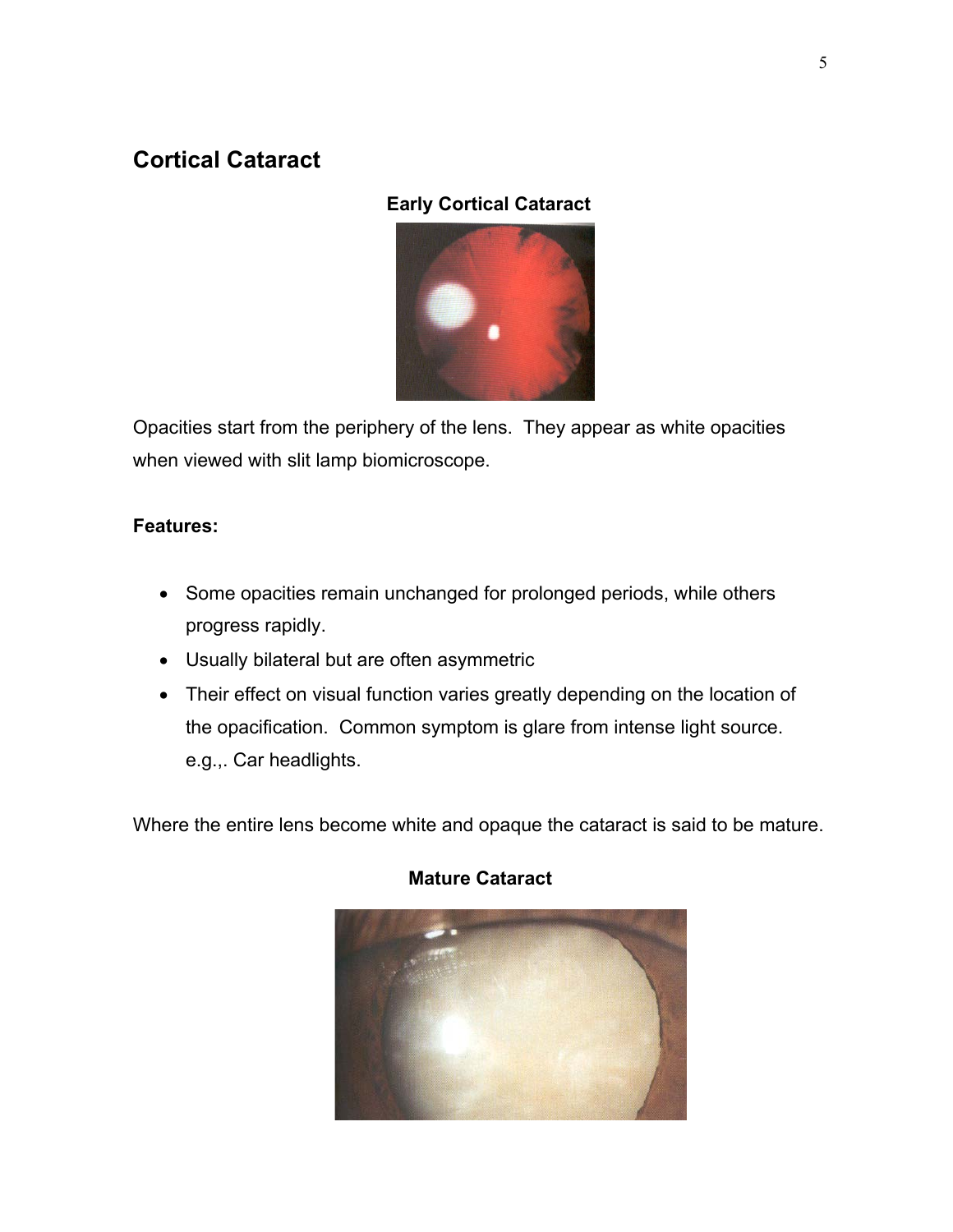# **Cortical Cataract**

# **Early Cortical Cataract**



Opacities start from the periphery of the lens. They appear as white opacities when viewed with slit lamp biomicroscope.

# **Features:**

- Some opacities remain unchanged for prolonged periods, while others progress rapidly.
- Usually bilateral but are often asymmetric
- Their effect on visual function varies greatly depending on the location of the opacification. Common symptom is glare from intense light source. e.g.,. Car headlights.

Where the entire lens become white and opaque the cataract is said to be mature.



# **Mature Cataract**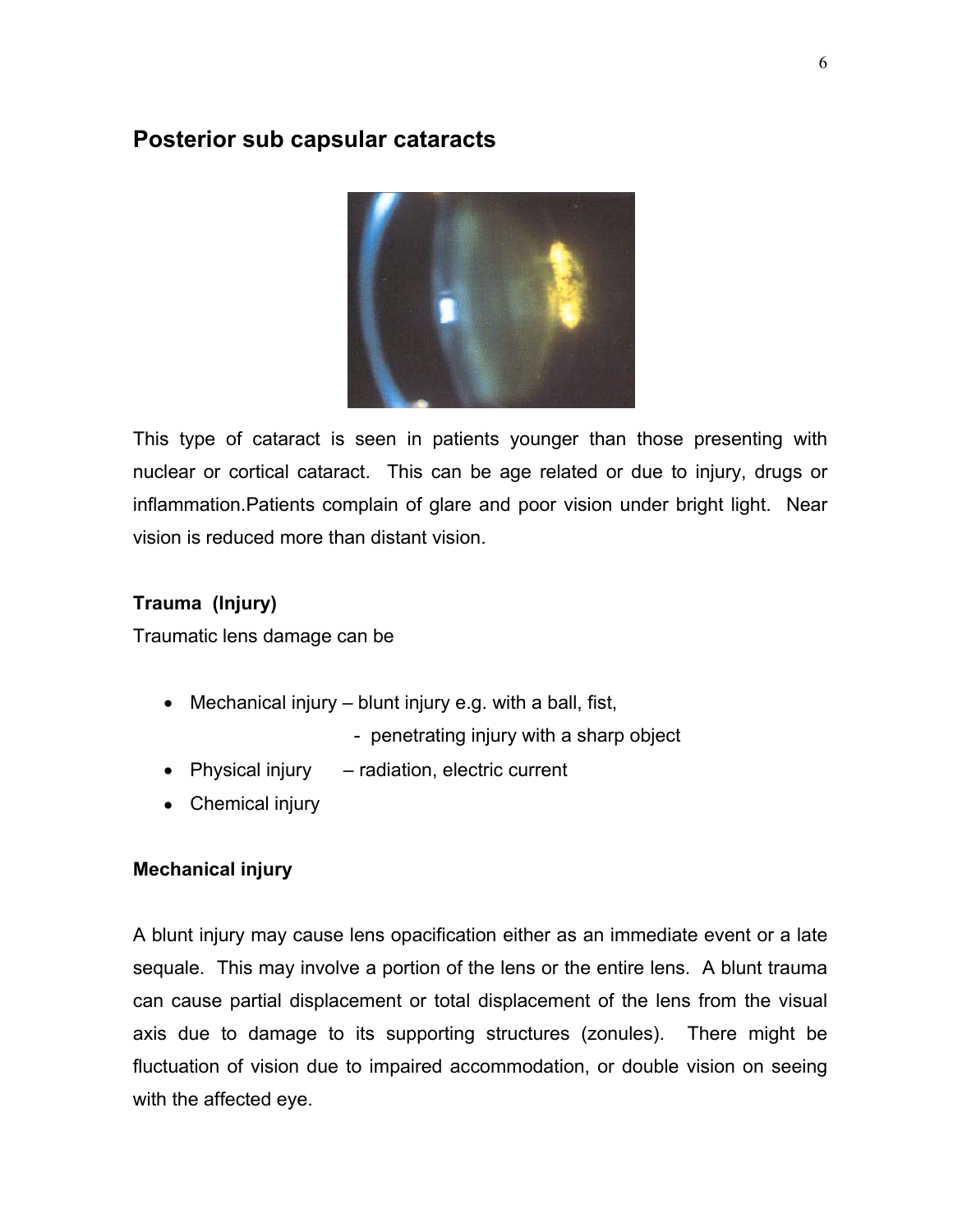# **Posterior sub capsular cataracts**



This type of cataract is seen in patients younger than those presenting with nuclear or cortical cataract. This can be age related or due to injury, drugs or inflammation.Patients complain of glare and poor vision under bright light. Near vision is reduced more than distant vision.

# **Trauma (Injury)**

Traumatic lens damage can be

- Mechanical injury  $-$  blunt injury e.g. with a ball, fist,
	- penetrating injury with a sharp object
- Physical injury radiation, electric current
- Chemical injury

#### **Mechanical injury**

A blunt injury may cause lens opacification either as an immediate event or a late sequale. This may involve a portion of the lens or the entire lens. A blunt trauma can cause partial displacement or total displacement of the lens from the visual axis due to damage to its supporting structures (zonules). There might be fluctuation of vision due to impaired accommodation, or double vision on seeing with the affected eye.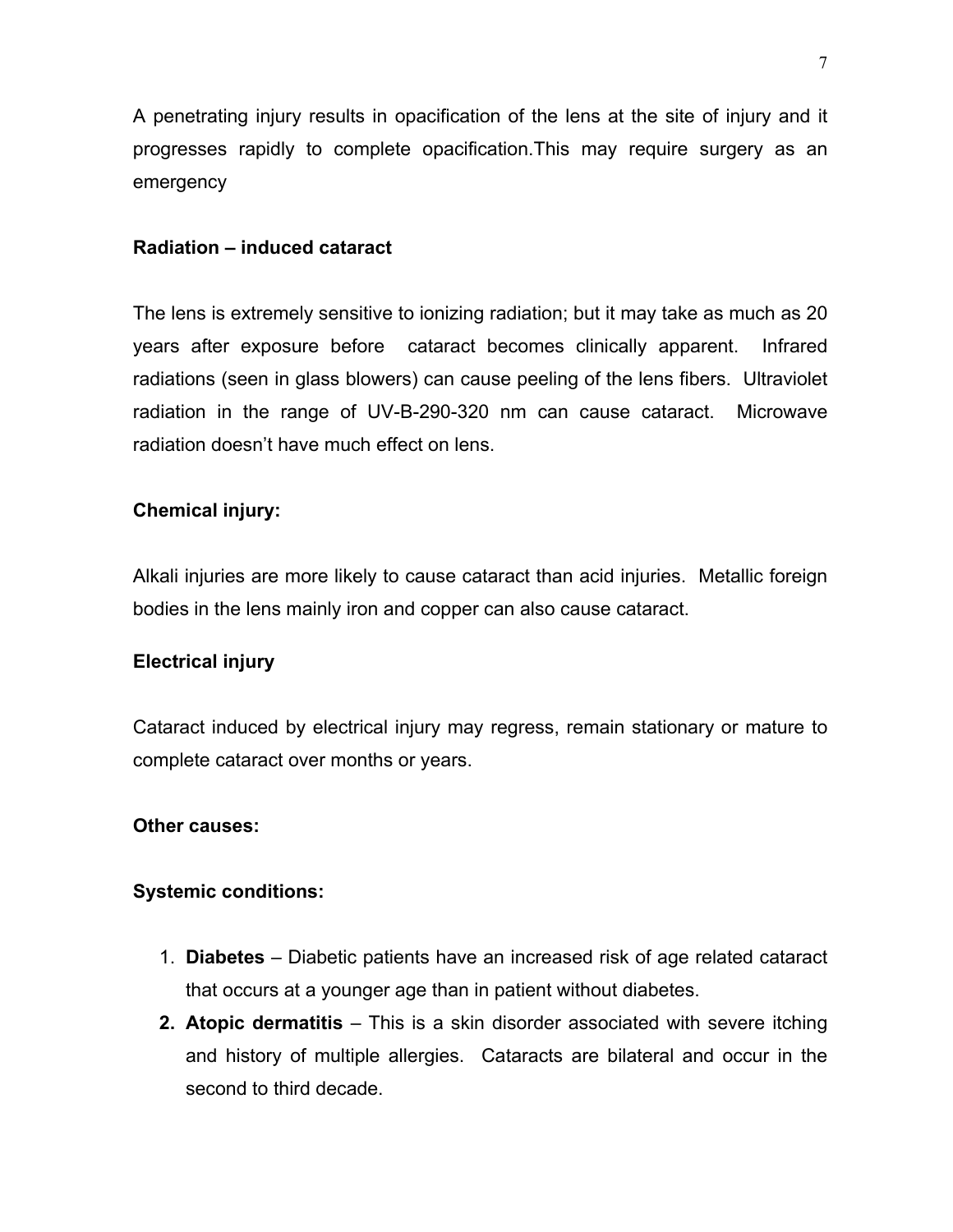A penetrating injury results in opacification of the lens at the site of injury and it progresses rapidly to complete opacification.This may require surgery as an emergency

#### **Radiation – induced cataract**

The lens is extremely sensitive to ionizing radiation; but it may take as much as 20 years after exposure before cataract becomes clinically apparent. Infrared radiations (seen in glass blowers) can cause peeling of the lens fibers. Ultraviolet radiation in the range of UV-B-290-320 nm can cause cataract. Microwave radiation doesn't have much effect on lens.

#### **Chemical injury:**

Alkali injuries are more likely to cause cataract than acid injuries. Metallic foreign bodies in the lens mainly iron and copper can also cause cataract.

#### **Electrical injury**

Cataract induced by electrical injury may regress, remain stationary or mature to complete cataract over months or years.

#### **Other causes:**

#### **Systemic conditions:**

- 1. **Diabetes** Diabetic patients have an increased risk of age related cataract that occurs at a younger age than in patient without diabetes.
- **2. Atopic dermatitis** This is a skin disorder associated with severe itching and history of multiple allergies. Cataracts are bilateral and occur in the second to third decade.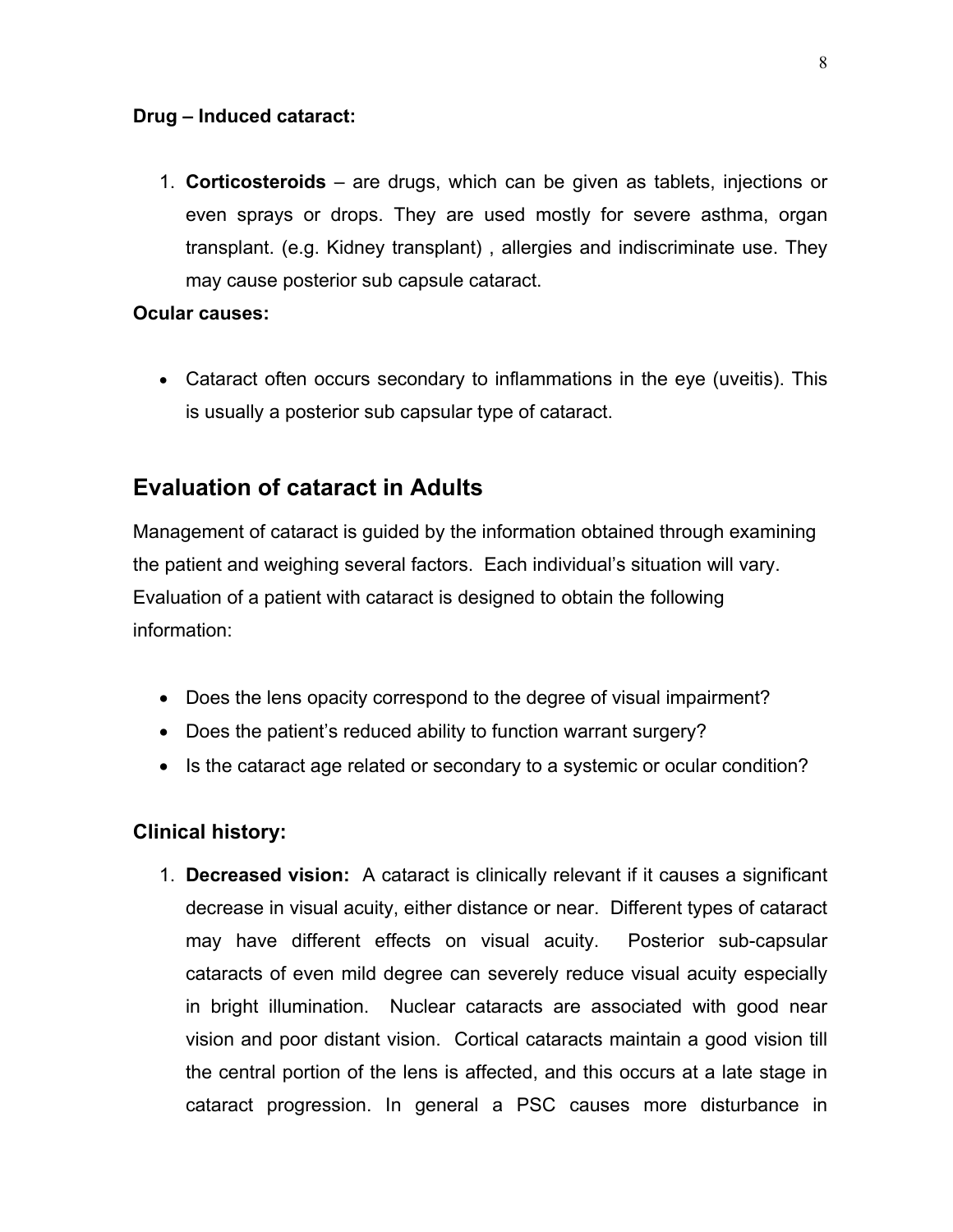#### **Drug – Induced cataract:**

1. **Corticosteroids** – are drugs, which can be given as tablets, injections or even sprays or drops. They are used mostly for severe asthma, organ transplant. (e.g. Kidney transplant) , allergies and indiscriminate use. They may cause posterior sub capsule cataract.

#### **Ocular causes:**

• Cataract often occurs secondary to inflammations in the eye (uveitis). This is usually a posterior sub capsular type of cataract.

# **Evaluation of cataract in Adults**

Management of cataract is guided by the information obtained through examining the patient and weighing several factors. Each individual's situation will vary. Evaluation of a patient with cataract is designed to obtain the following information:

- Does the lens opacity correspond to the degree of visual impairment?
- Does the patient's reduced ability to function warrant surgery?
- Is the cataract age related or secondary to a systemic or ocular condition?

#### **Clinical history:**

1. **Decreased vision:** A cataract is clinically relevant if it causes a significant decrease in visual acuity, either distance or near. Different types of cataract may have different effects on visual acuity. Posterior sub-capsular cataracts of even mild degree can severely reduce visual acuity especially in bright illumination. Nuclear cataracts are associated with good near vision and poor distant vision. Cortical cataracts maintain a good vision till the central portion of the lens is affected, and this occurs at a late stage in cataract progression. In general a PSC causes more disturbance in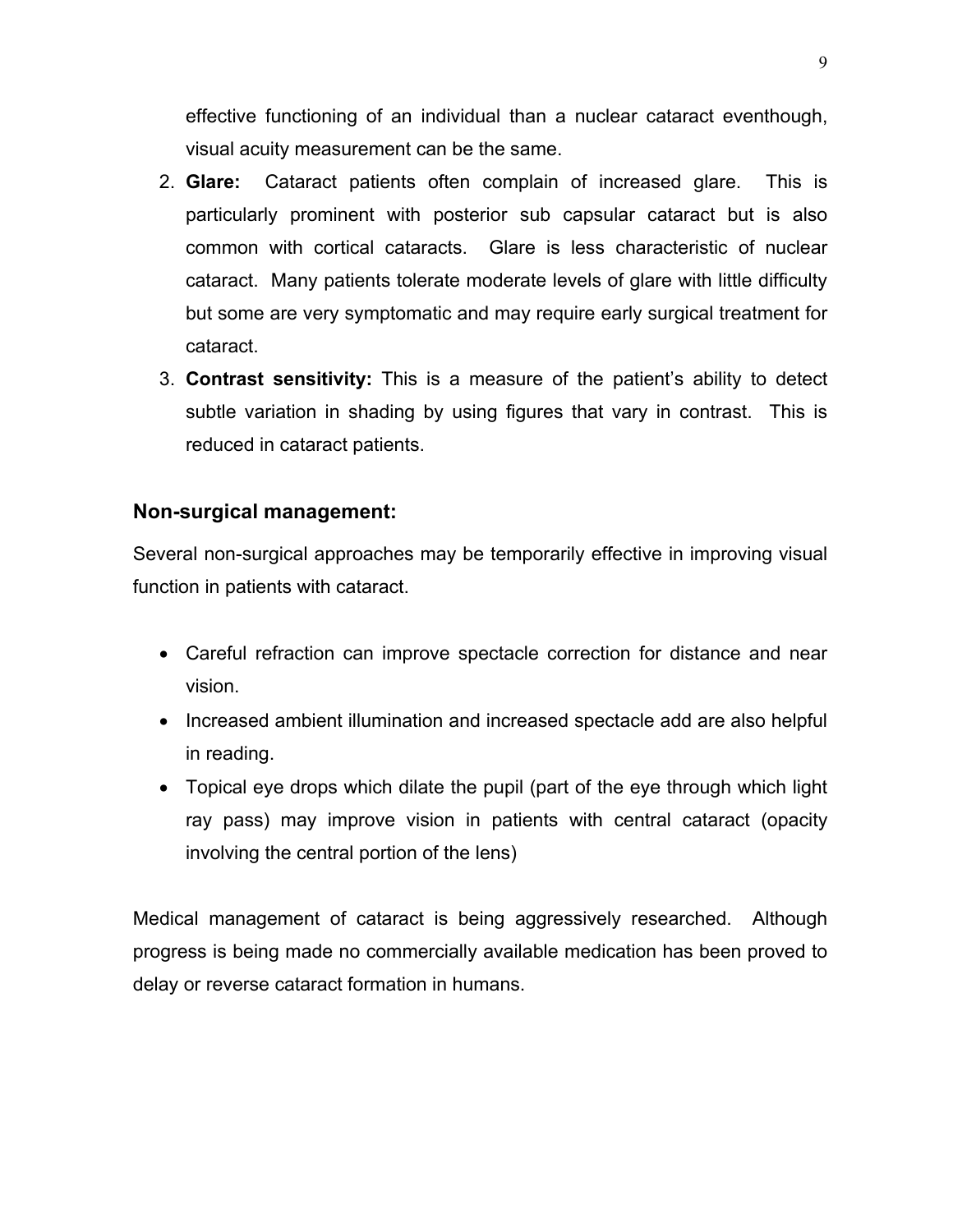effective functioning of an individual than a nuclear cataract eventhough, visual acuity measurement can be the same.

- 2. **Glare:** Cataract patients often complain of increased glare. This is particularly prominent with posterior sub capsular cataract but is also common with cortical cataracts. Glare is less characteristic of nuclear cataract. Many patients tolerate moderate levels of glare with little difficulty but some are very symptomatic and may require early surgical treatment for cataract.
- 3. **Contrast sensitivity:** This is a measure of the patient's ability to detect subtle variation in shading by using figures that vary in contrast. This is reduced in cataract patients.

#### **Non-surgical management:**

Several non-surgical approaches may be temporarily effective in improving visual function in patients with cataract.

- Careful refraction can improve spectacle correction for distance and near vision.
- Increased ambient illumination and increased spectacle add are also helpful in reading.
- Topical eye drops which dilate the pupil (part of the eye through which light ray pass) may improve vision in patients with central cataract (opacity involving the central portion of the lens)

Medical management of cataract is being aggressively researched. Although progress is being made no commercially available medication has been proved to delay or reverse cataract formation in humans.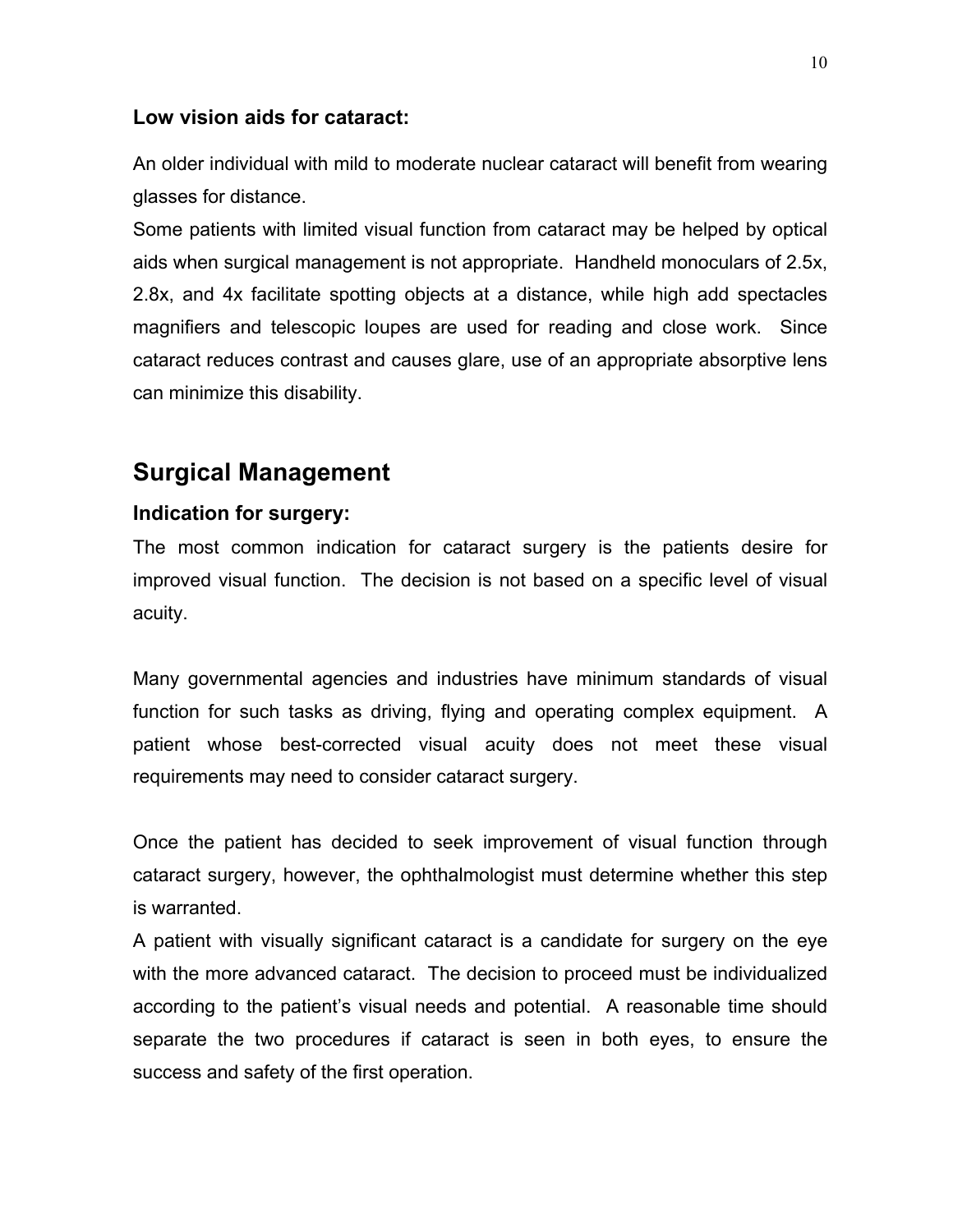#### **Low vision aids for cataract:**

An older individual with mild to moderate nuclear cataract will benefit from wearing glasses for distance.

Some patients with limited visual function from cataract may be helped by optical aids when surgical management is not appropriate. Handheld monoculars of 2.5x, 2.8x, and 4x facilitate spotting objects at a distance, while high add spectacles magnifiers and telescopic loupes are used for reading and close work. Since cataract reduces contrast and causes glare, use of an appropriate absorptive lens can minimize this disability.

# **Surgical Management**

#### **Indication for surgery:**

The most common indication for cataract surgery is the patients desire for improved visual function. The decision is not based on a specific level of visual acuity.

Many governmental agencies and industries have minimum standards of visual function for such tasks as driving, flying and operating complex equipment. A patient whose best-corrected visual acuity does not meet these visual requirements may need to consider cataract surgery.

Once the patient has decided to seek improvement of visual function through cataract surgery, however, the ophthalmologist must determine whether this step is warranted.

A patient with visually significant cataract is a candidate for surgery on the eye with the more advanced cataract. The decision to proceed must be individualized according to the patient's visual needs and potential. A reasonable time should separate the two procedures if cataract is seen in both eyes, to ensure the success and safety of the first operation.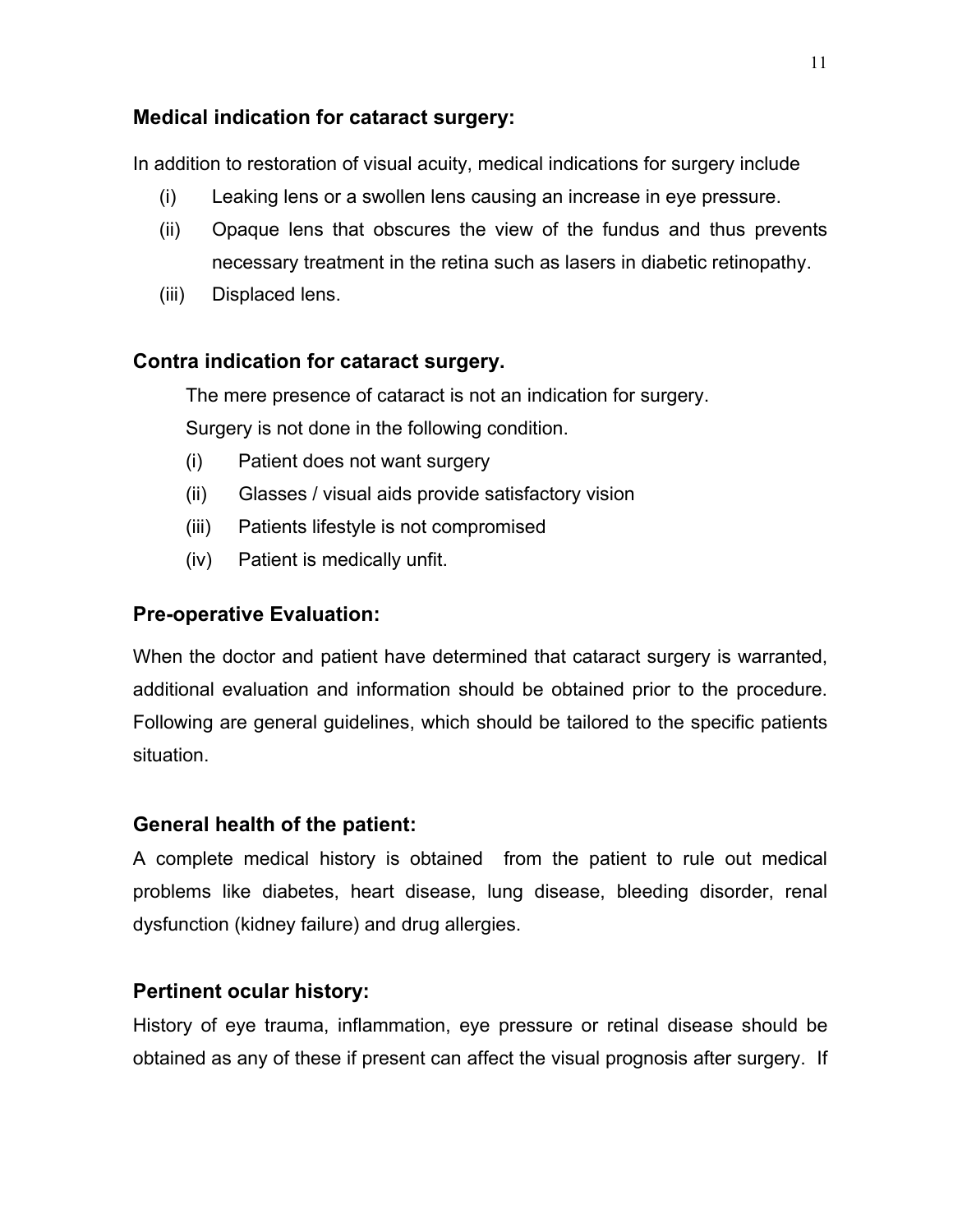# **Medical indication for cataract surgery:**

In addition to restoration of visual acuity, medical indications for surgery include

- (i) Leaking lens or a swollen lens causing an increase in eye pressure.
- (ii) Opaque lens that obscures the view of the fundus and thus prevents necessary treatment in the retina such as lasers in diabetic retinopathy.
- (iii) Displaced lens.

# **Contra indication for cataract surgery.**

The mere presence of cataract is not an indication for surgery.

Surgery is not done in the following condition.

- (i) Patient does not want surgery
- (ii) Glasses / visual aids provide satisfactory vision
- (iii) Patients lifestyle is not compromised
- (iv) Patient is medically unfit.

# **Pre-operative Evaluation:**

When the doctor and patient have determined that cataract surgery is warranted, additional evaluation and information should be obtained prior to the procedure. Following are general guidelines, which should be tailored to the specific patients situation.

# **General health of the patient:**

A complete medical history is obtained from the patient to rule out medical problems like diabetes, heart disease, lung disease, bleeding disorder, renal dysfunction (kidney failure) and drug allergies.

# **Pertinent ocular history:**

History of eye trauma, inflammation, eye pressure or retinal disease should be obtained as any of these if present can affect the visual prognosis after surgery. If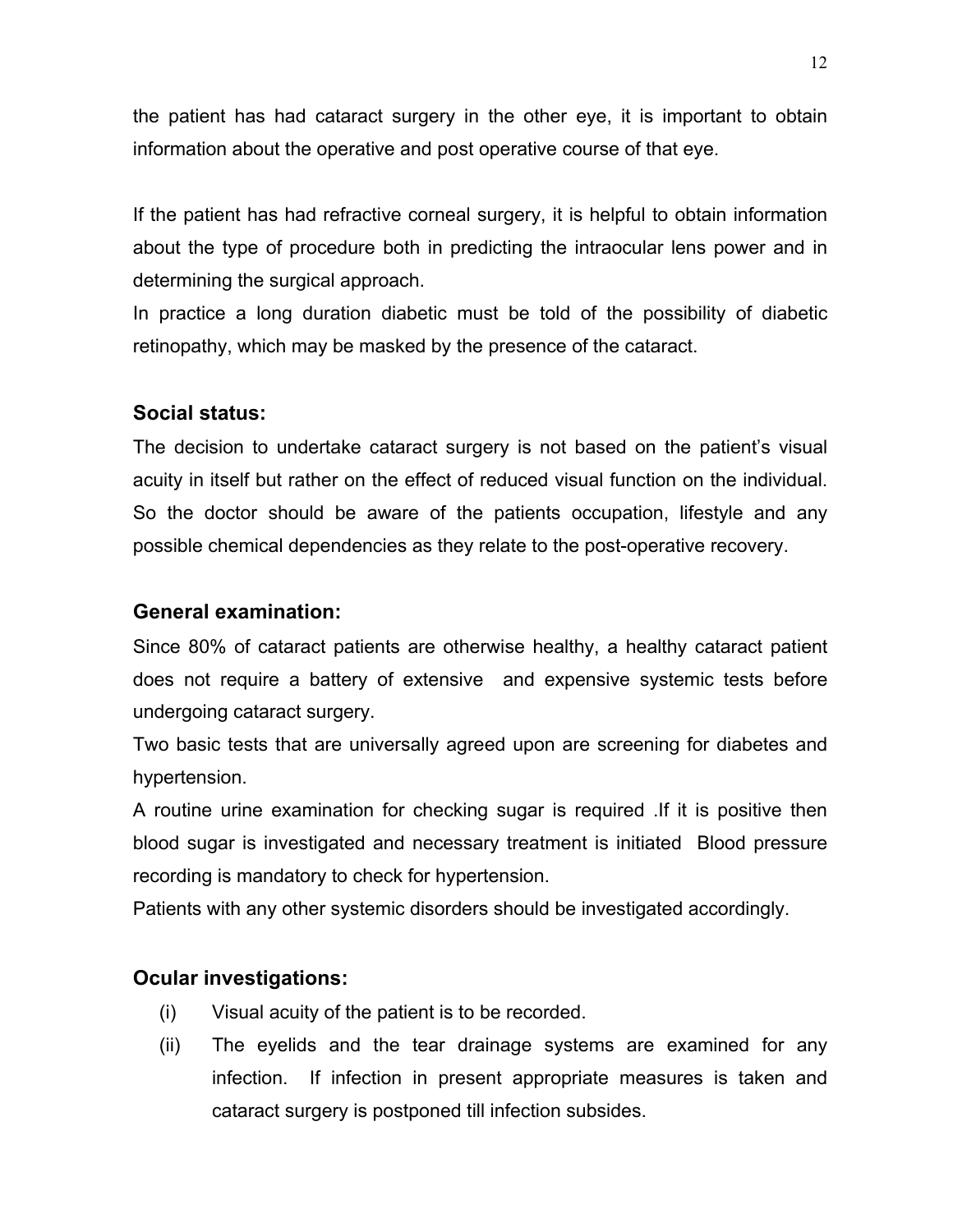the patient has had cataract surgery in the other eye, it is important to obtain information about the operative and post operative course of that eye.

If the patient has had refractive corneal surgery, it is helpful to obtain information about the type of procedure both in predicting the intraocular lens power and in determining the surgical approach.

In practice a long duration diabetic must be told of the possibility of diabetic retinopathy, which may be masked by the presence of the cataract.

# **Social status:**

The decision to undertake cataract surgery is not based on the patient's visual acuity in itself but rather on the effect of reduced visual function on the individual. So the doctor should be aware of the patients occupation, lifestyle and any possible chemical dependencies as they relate to the post-operative recovery.

#### **General examination:**

Since 80% of cataract patients are otherwise healthy, a healthy cataract patient does not require a battery of extensive and expensive systemic tests before undergoing cataract surgery.

Two basic tests that are universally agreed upon are screening for diabetes and hypertension.

A routine urine examination for checking sugar is required .If it is positive then blood sugar is investigated and necessary treatment is initiated Blood pressure recording is mandatory to check for hypertension.

Patients with any other systemic disorders should be investigated accordingly.

#### **Ocular investigations:**

- (i) Visual acuity of the patient is to be recorded.
- (ii) The eyelids and the tear drainage systems are examined for any infection. If infection in present appropriate measures is taken and cataract surgery is postponed till infection subsides.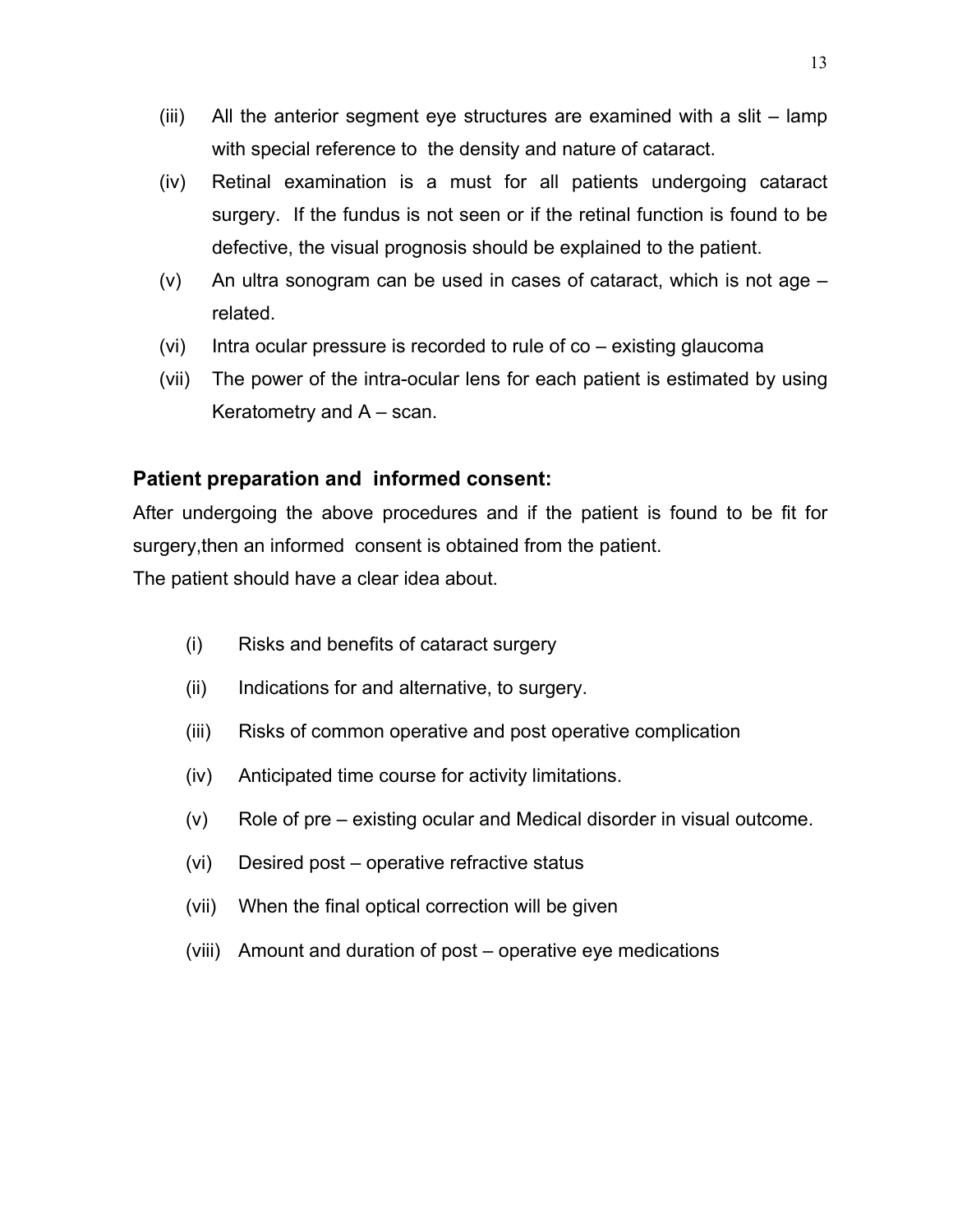- (iii) All the anterior segment eye structures are examined with a slit lamp with special reference to the density and nature of cataract.
- (iv) Retinal examination is a must for all patients undergoing cataract surgery. If the fundus is not seen or if the retinal function is found to be defective, the visual prognosis should be explained to the patient.
- (v) An ultra sonogram can be used in cases of cataract, which is not age related.
- (vi) Intra ocular pressure is recorded to rule of  $\cos$  existing glaucoma
- (vii) The power of the intra-ocular lens for each patient is estimated by using Keratometry and A – scan.

#### **Patient preparation and informed consent:**

After undergoing the above procedures and if the patient is found to be fit for surgery,then an informed consent is obtained from the patient.

The patient should have a clear idea about.

- (i) Risks and benefits of cataract surgery
- (ii) Indications for and alternative, to surgery.
- (iii) Risks of common operative and post operative complication
- (iv) Anticipated time course for activity limitations.
- (v) Role of pre existing ocular and Medical disorder in visual outcome.
- (vi) Desired post operative refractive status
- (vii) When the final optical correction will be given
- (viii) Amount and duration of post operative eye medications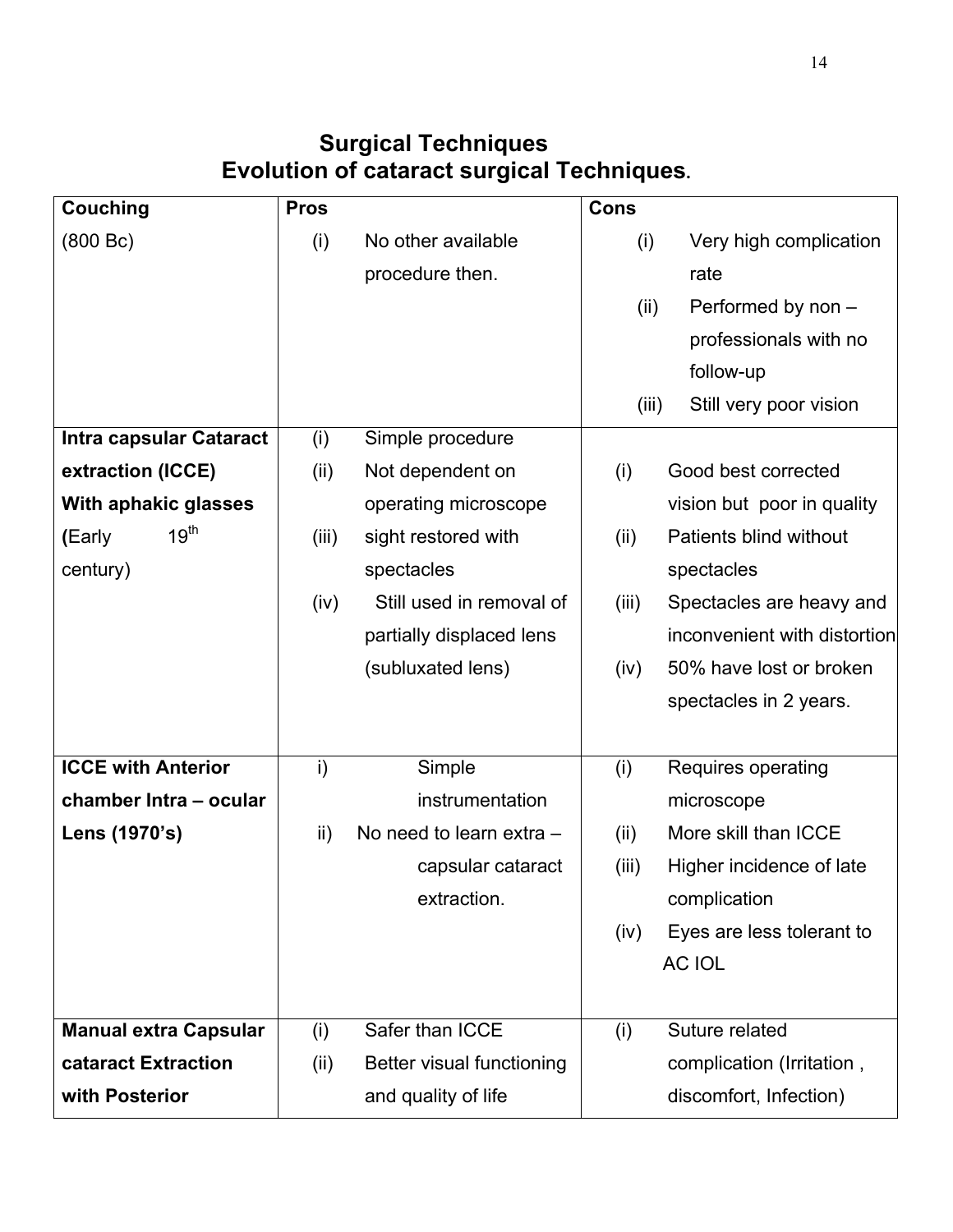# **Surgical Techniques Evolution of cataract surgical Techniques.**

| <b>Couching</b>              | <b>Pros</b> |                           | <b>Cons</b> |                              |
|------------------------------|-------------|---------------------------|-------------|------------------------------|
| (800 Bc)                     | (i)         | No other available        | (i)         | Very high complication       |
|                              |             | procedure then.           |             | rate                         |
|                              |             |                           | (ii)        | Performed by non -           |
|                              |             |                           |             | professionals with no        |
|                              |             |                           |             | follow-up                    |
|                              |             |                           | (iii)       | Still very poor vision       |
| Intra capsular Cataract      | (i)         | Simple procedure          |             |                              |
| extraction (ICCE)            | (ii)        | Not dependent on          | (i)         | Good best corrected          |
| With aphakic glasses         |             | operating microscope      |             | vision but poor in quality   |
| $19^{\text{th}}$<br>(Early   | (iii)       | sight restored with       | (ii)        | Patients blind without       |
| century)                     |             | spectacles                |             | spectacles                   |
|                              | (iv)        | Still used in removal of  | (iii)       | Spectacles are heavy and     |
|                              |             | partially displaced lens  |             | inconvenient with distortion |
|                              |             | (subluxated lens)         | (iv)        | 50% have lost or broken      |
|                              |             |                           |             | spectacles in 2 years.       |
|                              |             |                           |             |                              |
| <b>ICCE with Anterior</b>    | i)          | Simple                    | (i)         | Requires operating           |
| chamber Intra - ocular       |             | instrumentation           |             | microscope                   |
| Lens (1970's)                | ii)         | No need to learn extra -  | (ii)        | More skill than ICCE         |
|                              |             | capsular cataract         | (iii)       | Higher incidence of late     |
|                              |             | extraction.               |             | complication                 |
|                              |             |                           | (iv)        | Eyes are less tolerant to    |
|                              |             |                           |             | <b>AC IOL</b>                |
|                              |             |                           |             |                              |
| <b>Manual extra Capsular</b> | (i)         | Safer than ICCE           | (i)         | Suture related               |
| cataract Extraction          | (ii)        | Better visual functioning |             | complication (Irritation,    |
| with Posterior               |             | and quality of life       |             | discomfort, Infection)       |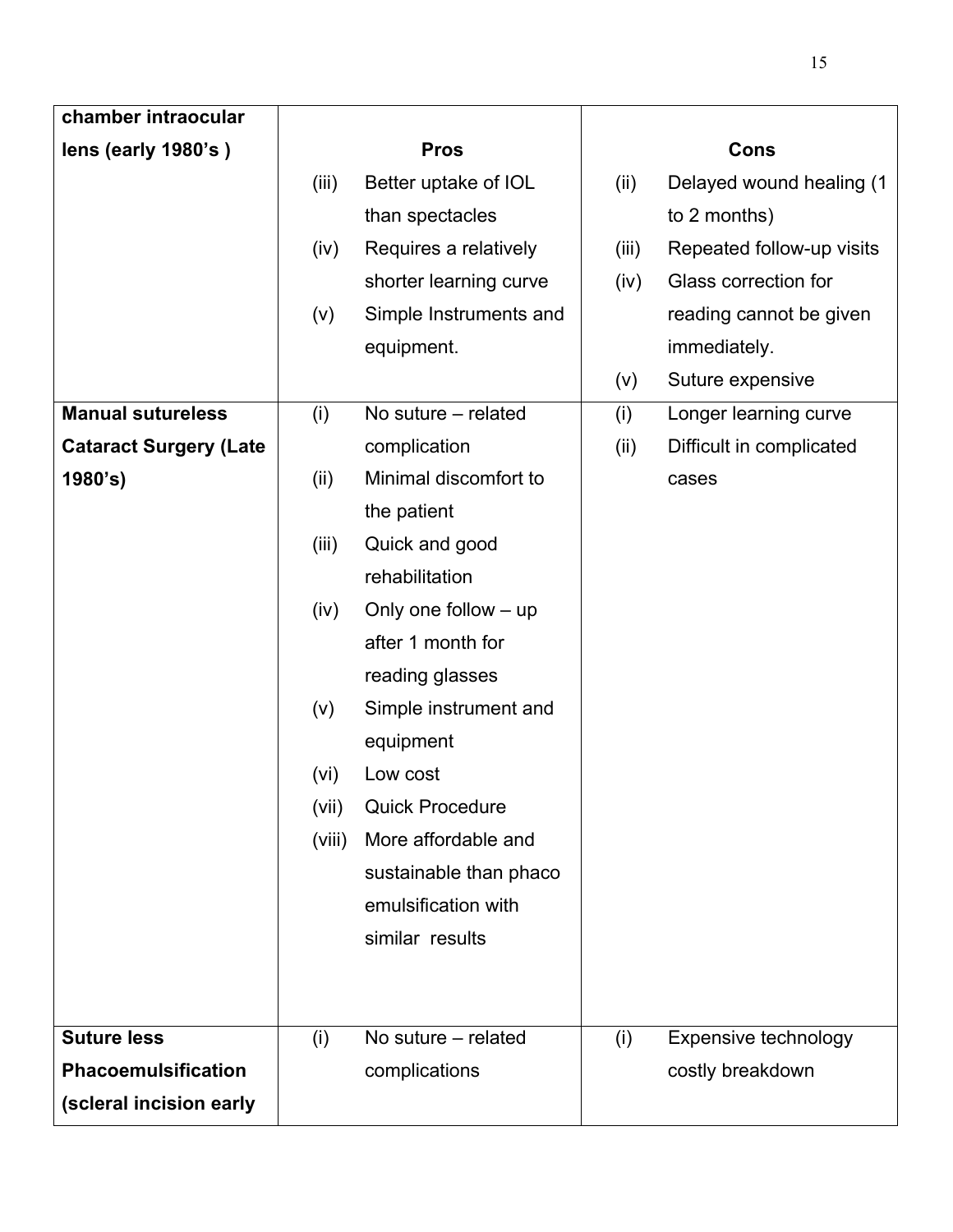| chamber intraocular           |        |                        |       |                           |
|-------------------------------|--------|------------------------|-------|---------------------------|
| lens (early 1980's)           |        | <b>Pros</b>            |       | <b>Cons</b>               |
|                               | (iii)  | Better uptake of IOL   | (ii)  | Delayed wound healing (1  |
|                               |        | than spectacles        |       | to 2 months)              |
|                               | (iv)   | Requires a relatively  | (iii) | Repeated follow-up visits |
|                               |        | shorter learning curve | (iv)  | Glass correction for      |
|                               | (v)    | Simple Instruments and |       | reading cannot be given   |
|                               |        | equipment.             |       | immediately.              |
|                               |        |                        | (v)   | Suture expensive          |
| <b>Manual sutureless</b>      | (i)    | No suture – related    | (i)   | Longer learning curve     |
| <b>Cataract Surgery (Late</b> |        | complication           | (ii)  | Difficult in complicated  |
| 1980's)                       | (ii)   | Minimal discomfort to  |       | cases                     |
|                               |        | the patient            |       |                           |
|                               | (iii)  | Quick and good         |       |                           |
|                               |        | rehabilitation         |       |                           |
|                               | (iv)   | Only one follow $-$ up |       |                           |
|                               |        | after 1 month for      |       |                           |
|                               |        | reading glasses        |       |                           |
|                               | (v)    | Simple instrument and  |       |                           |
|                               |        | equipment              |       |                           |
|                               | (vi)   | Low cost               |       |                           |
|                               | (vii)  | <b>Quick Procedure</b> |       |                           |
|                               | (viii) | More affordable and    |       |                           |
|                               |        | sustainable than phaco |       |                           |
|                               |        | emulsification with    |       |                           |
|                               |        | similar results        |       |                           |
|                               |        |                        |       |                           |
|                               |        |                        |       |                           |
| <b>Suture less</b>            | (i)    | No suture – related    | (i)   | Expensive technology      |
| <b>Phacoemulsification</b>    |        | complications          |       | costly breakdown          |
| (scleral incision early       |        |                        |       |                           |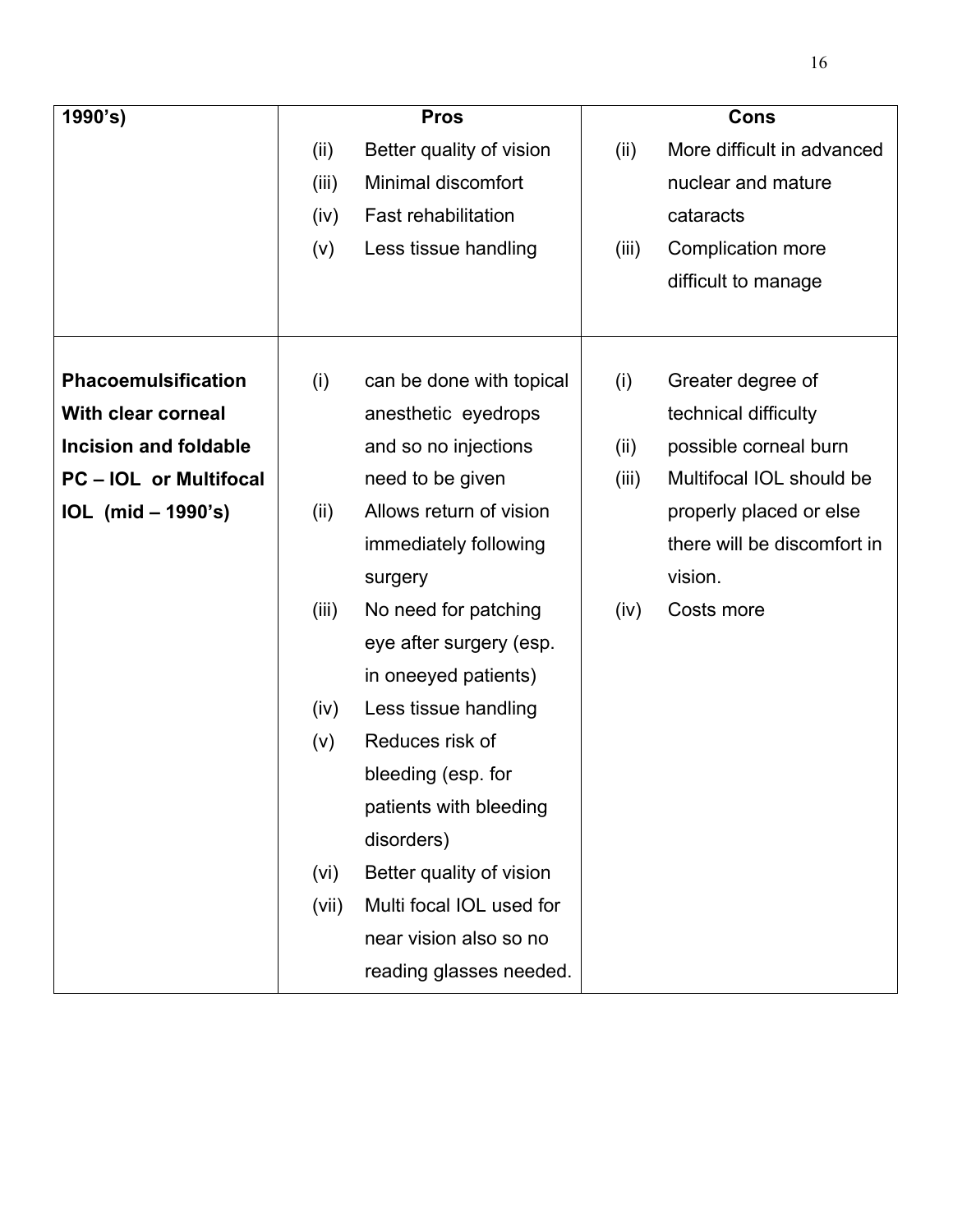| 1990's)                      |       | <b>Pros</b>                |       | Cons                        |
|------------------------------|-------|----------------------------|-------|-----------------------------|
|                              | (ii)  | Better quality of vision   | (ii)  | More difficult in advanced  |
|                              | (iii) | Minimal discomfort         |       | nuclear and mature          |
|                              | (iv)  | <b>Fast rehabilitation</b> |       | cataracts                   |
|                              | (v)   | Less tissue handling       | (iii) | Complication more           |
|                              |       |                            |       | difficult to manage         |
|                              |       |                            |       |                             |
|                              |       |                            |       |                             |
| <b>Phacoemulsification</b>   | (i)   | can be done with topical   | (i)   | Greater degree of           |
| <b>With clear corneal</b>    |       | anesthetic eyedrops        |       | technical difficulty        |
| <b>Incision and foldable</b> |       | and so no injections       | (ii)  | possible corneal burn       |
| <b>PC-IOL or Multifocal</b>  |       | need to be given           | (iii) | Multifocal IOL should be    |
| IOL (mid - 1990's)           | (ii)  | Allows return of vision    |       | properly placed or else     |
|                              |       | immediately following      |       | there will be discomfort in |
|                              |       | surgery                    |       | vision.                     |
|                              | (iii) | No need for patching       | (iv)  | Costs more                  |
|                              |       | eye after surgery (esp.    |       |                             |
|                              |       | in oneeyed patients)       |       |                             |
|                              | (iv)  | Less tissue handling       |       |                             |
|                              | (v)   | Reduces risk of            |       |                             |
|                              |       | bleeding (esp. for         |       |                             |
|                              |       | patients with bleeding     |       |                             |
|                              |       | disorders)                 |       |                             |
|                              | (vi)  | Better quality of vision   |       |                             |
|                              | (vii) | Multi focal IOL used for   |       |                             |
|                              |       | near vision also so no     |       |                             |
|                              |       | reading glasses needed.    |       |                             |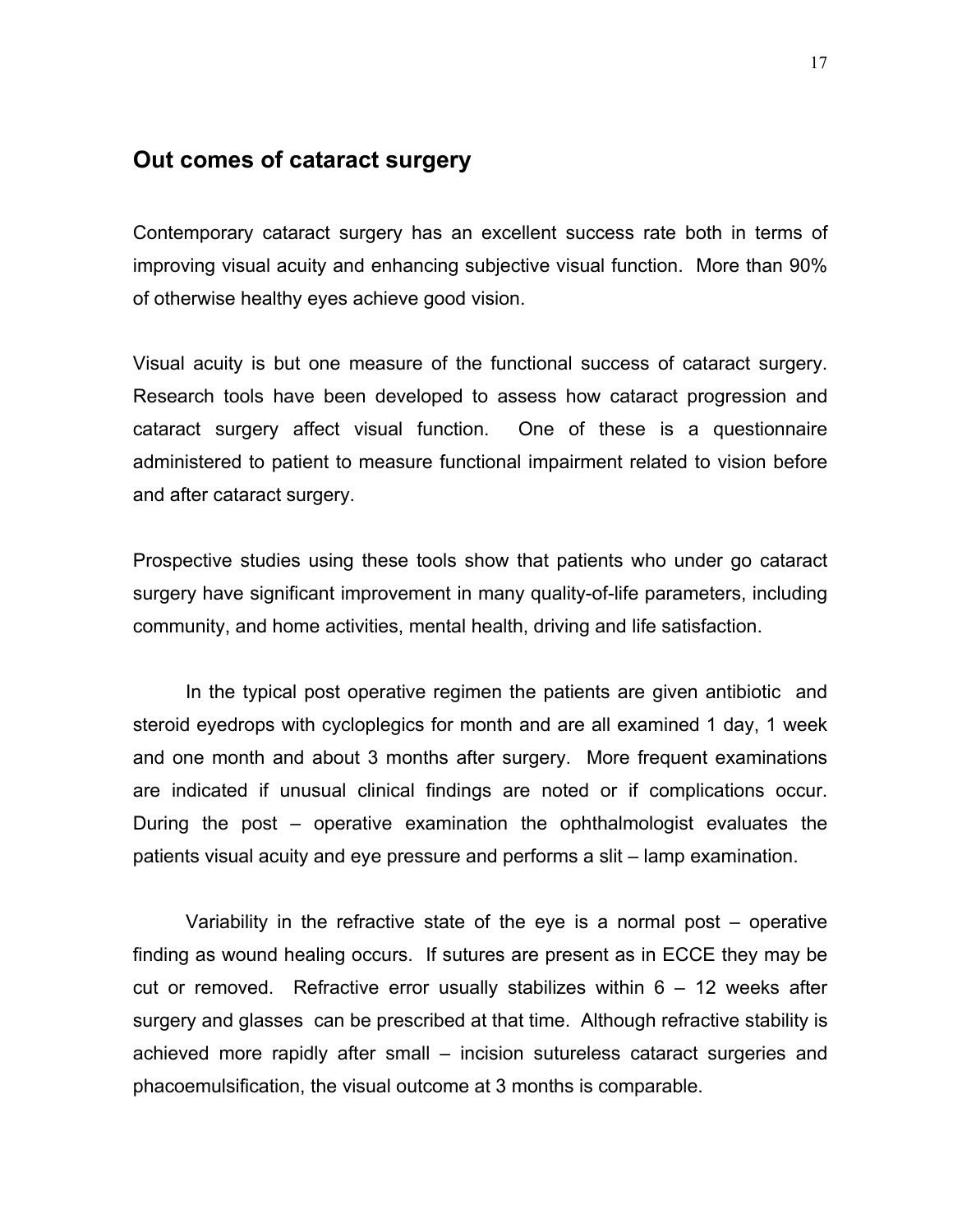# **Out comes of cataract surgery**

Contemporary cataract surgery has an excellent success rate both in terms of improving visual acuity and enhancing subjective visual function. More than 90% of otherwise healthy eyes achieve good vision.

Visual acuity is but one measure of the functional success of cataract surgery. Research tools have been developed to assess how cataract progression and cataract surgery affect visual function. One of these is a questionnaire administered to patient to measure functional impairment related to vision before and after cataract surgery.

Prospective studies using these tools show that patients who under go cataract surgery have significant improvement in many quality-of-life parameters, including community, and home activities, mental health, driving and life satisfaction.

In the typical post operative regimen the patients are given antibiotic and steroid eyedrops with cycloplegics for month and are all examined 1 day, 1 week and one month and about 3 months after surgery. More frequent examinations are indicated if unusual clinical findings are noted or if complications occur. During the post – operative examination the ophthalmologist evaluates the patients visual acuity and eye pressure and performs a slit – lamp examination.

Variability in the refractive state of the eye is a normal post – operative finding as wound healing occurs. If sutures are present as in ECCE they may be cut or removed. Refractive error usually stabilizes within  $6 - 12$  weeks after surgery and glasses can be prescribed at that time. Although refractive stability is achieved more rapidly after small – incision sutureless cataract surgeries and phacoemulsification, the visual outcome at 3 months is comparable.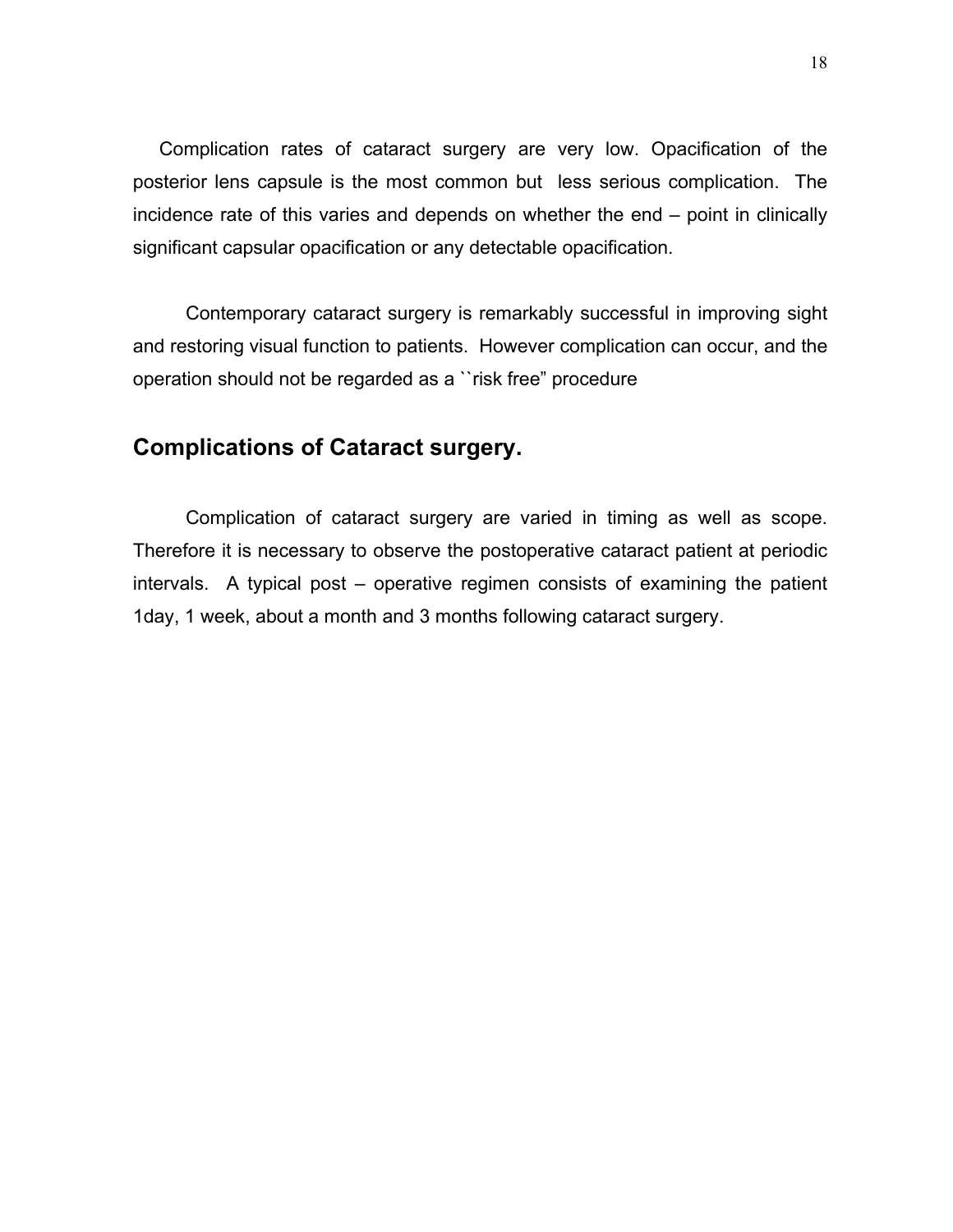Complication rates of cataract surgery are very low. Opacification of the posterior lens capsule is the most common but less serious complication. The incidence rate of this varies and depends on whether the end – point in clinically significant capsular opacification or any detectable opacification.

Contemporary cataract surgery is remarkably successful in improving sight and restoring visual function to patients. However complication can occur, and the operation should not be regarded as a ``risk free" procedure

# **Complications of Cataract surgery.**

Complication of cataract surgery are varied in timing as well as scope. Therefore it is necessary to observe the postoperative cataract patient at periodic intervals. A typical post – operative regimen consists of examining the patient 1day, 1 week, about a month and 3 months following cataract surgery.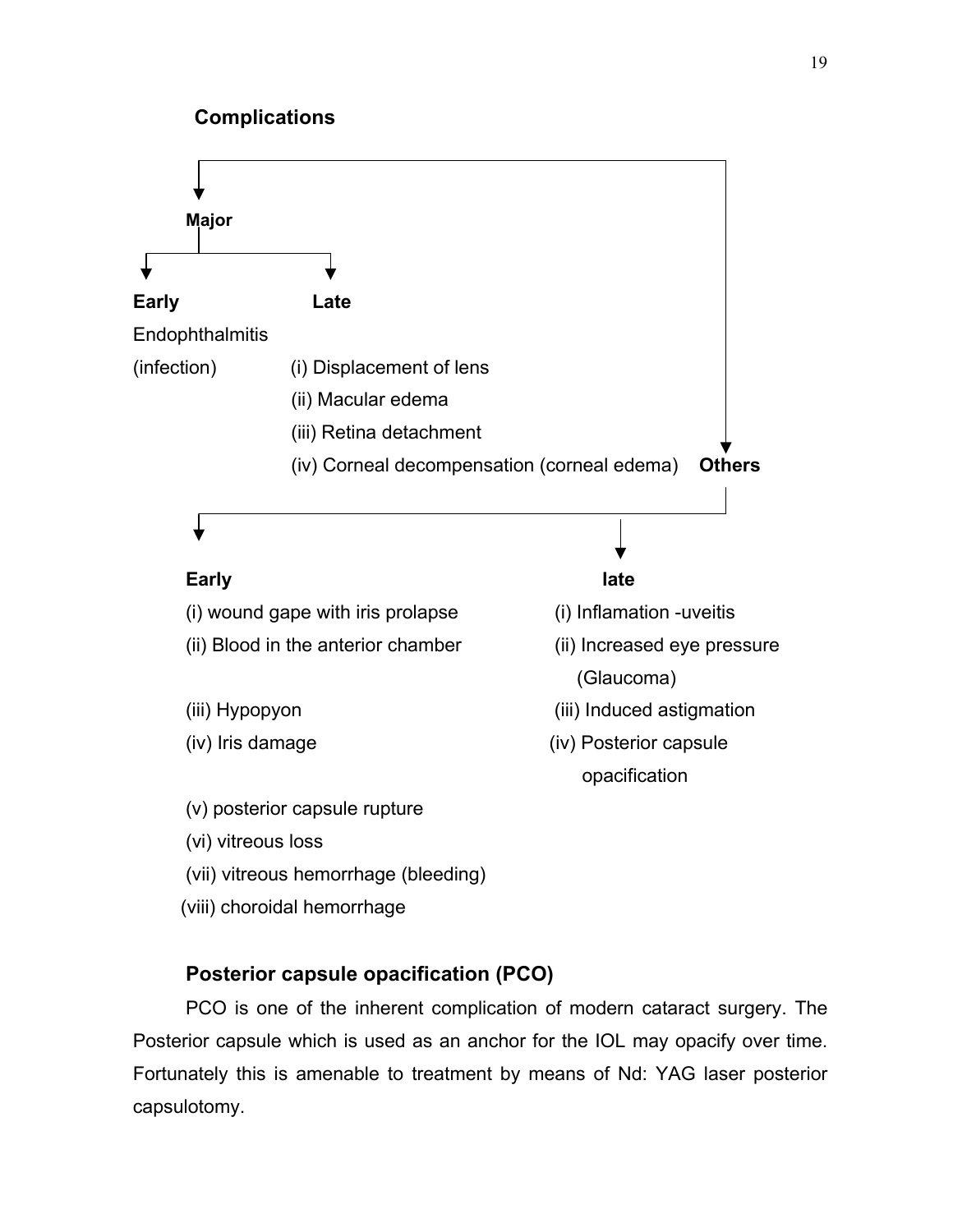

# **Posterior capsule opacification (PCO)**

PCO is one of the inherent complication of modern cataract surgery. The Posterior capsule which is used as an anchor for the IOL may opacify over time. Fortunately this is amenable to treatment by means of Nd: YAG laser posterior capsulotomy.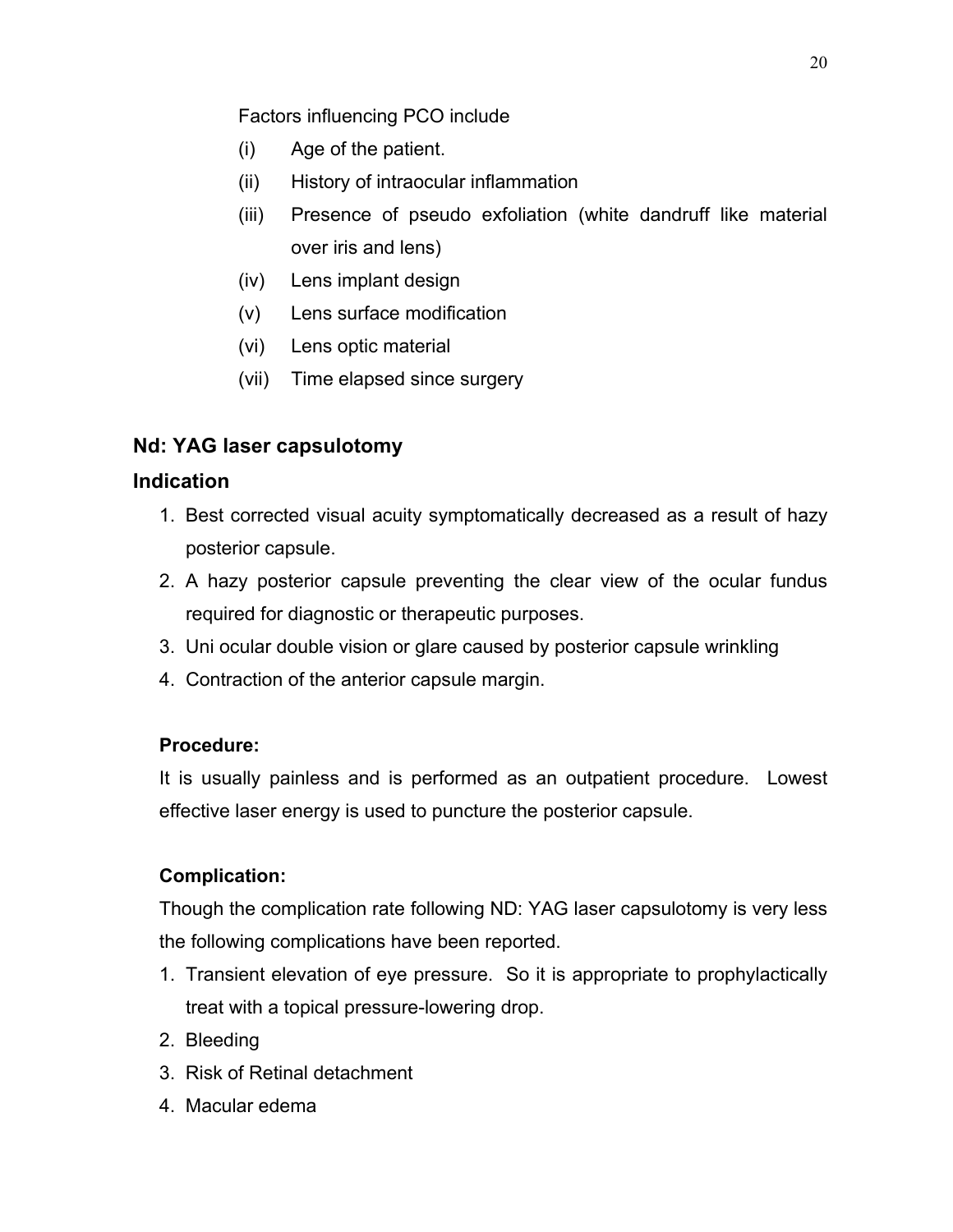Factors influencing PCO include

- (i) Age of the patient.
- (ii) History of intraocular inflammation
- (iii) Presence of pseudo exfoliation (white dandruff like material over iris and lens)
- (iv) Lens implant design
- (v) Lens surface modification
- (vi) Lens optic material
- (vii) Time elapsed since surgery

# **Nd: YAG laser capsulotomy**

# **Indication**

- 1. Best corrected visual acuity symptomatically decreased as a result of hazy posterior capsule.
- 2. A hazy posterior capsule preventing the clear view of the ocular fundus required for diagnostic or therapeutic purposes.
- 3. Uni ocular double vision or glare caused by posterior capsule wrinkling
- 4. Contraction of the anterior capsule margin.

# **Procedure:**

It is usually painless and is performed as an outpatient procedure. Lowest effective laser energy is used to puncture the posterior capsule.

# **Complication:**

Though the complication rate following ND: YAG laser capsulotomy is very less the following complications have been reported.

- 1. Transient elevation of eye pressure. So it is appropriate to prophylactically treat with a topical pressure-lowering drop.
- 2. Bleeding
- 3. Risk of Retinal detachment
- 4. Macular edema